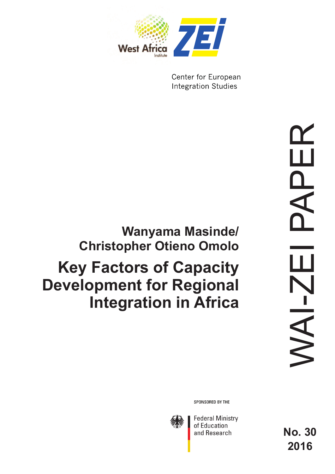

Center for European **Integration Studies** 

# **Wanyama Masinde/ Christopher Otieno Omolo**

# **Key Factors of Capacity Development for Regional Integration in Africa**

SPONSORED BY THE



**Federal Ministry** of Education and Research

**No. 30 2016**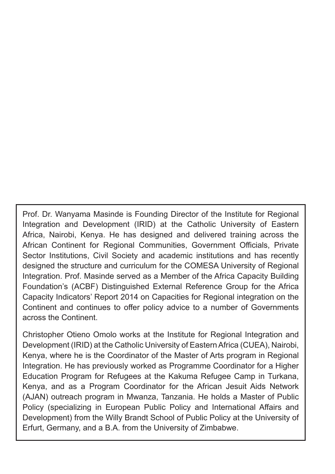Prof. Dr. Wanyama Masinde is Founding Director of the Institute for Regional Integration and Development (IRID) at the Catholic University of Eastern Africa, Nairobi, Kenya. He has designed and delivered training across the African Continent for Regional Communities, Government Officials, Private Sector Institutions, Civil Society and academic institutions and has recently designed the structure and curriculum for the COMESA University of Regional Integration. Prof. Masinde served as a Member of the Africa Capacity Building Foundation's (ACBF) Distinguished External Reference Group for the Africa Capacity Indicators' Report 2014 on Capacities for Regional integration on the Continent and continues to offer policy advice to a number of Governments across the Continent.

Christopher Otieno Omolo works at the Institute for Regional Integration and Development (IRID) at the Catholic University of Eastern Africa (CUEA), Nairobi, Kenya, where he is the Coordinator of the Master of Arts program in Regional Integration. He has previously worked as Programme Coordinator for a Higher Education Program for Refugees at the Kakuma Refugee Camp in Turkana, Kenya, and as a Program Coordinator for the African Jesuit Aids Network (AJAN) outreach program in Mwanza, Tanzania. He holds a Master of Public Policy (specializing in European Public Policy and International Affairs and Development) from the Willy Brandt School of Public Policy at the University of Erfurt, Germany, and a B.A. from the University of Zimbabwe.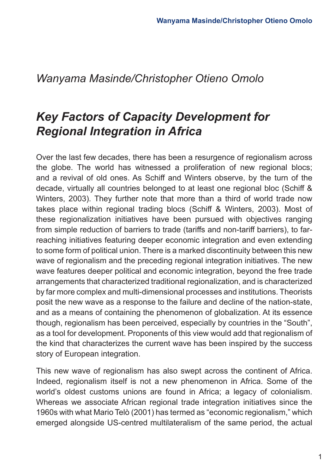### *Wanyama Masinde/Christopher Otieno Omolo*

# *Key Factors of Capacity Development for Regional Integration in Africa*

Over the last few decades, there has been a resurgence of regionalism across the globe. The world has witnessed a proliferation of new regional blocs; and a revival of old ones. As Schiff and Winters observe, by the turn of the decade, virtually all countries belonged to at least one regional bloc (Schiff & Winters, 2003). They further note that more than a third of world trade now takes place within regional trading blocs (Schiff & Winters, 2003). Most of these regionalization initiatives have been pursued with objectives ranging from simple reduction of barriers to trade (tariffs and non-tariff barriers), to farreaching initiatives featuring deeper economic integration and even extending to some form of political union. There is a marked discontinuity between this new wave of regionalism and the preceding regional integration initiatives. The new wave features deeper political and economic integration, beyond the free trade arrangements that characterized traditional regionalization, and is characterized by far more complex and multi-dimensional processes and institutions. Theorists posit the new wave as a response to the failure and decline of the nation-state, and as a means of containing the phenomenon of globalization. At its essence though, regionalism has been perceived, especially by countries in the "South", as a tool for development. Proponents of this view would add that regionalism of the kind that characterizes the current wave has been inspired by the success story of European integration.

This new wave of regionalism has also swept across the continent of Africa. Indeed, regionalism itself is not a new phenomenon in Africa. Some of the world's oldest customs unions are found in Africa; a legacy of colonialism. Whereas we associate African regional trade integration initiatives since the 1960s with what Mario Telò (2001) has termed as "economic regionalism," which emerged alongside US-centred multilateralism of the same period, the actual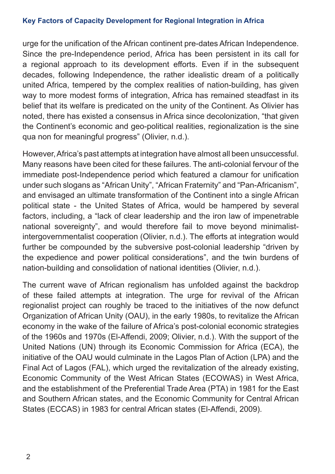#### **Key Factors of Capacity Development for Regional Integration in Africa**

urge for the unification of the African continent pre-dates African Independence. Since the pre-Independence period, Africa has been persistent in its call for a regional approach to its development efforts. Even if in the subsequent decades, following Independence, the rather idealistic dream of a politically united Africa, tempered by the complex realities of nation-building, has given way to more modest forms of integration, Africa has remained steadfast in its belief that its welfare is predicated on the unity of the Continent. As Olivier has noted, there has existed a consensus in Africa since decolonization, "that given the Continent's economic and geo-political realities, regionalization is the sine qua non for meaningful progress" (Olivier, n.d.).

However, Africa's past attempts at integration have almost all been unsuccessful. Many reasons have been cited for these failures. The anti-colonial fervour of the immediate post-Independence period which featured a clamour for unification under such slogans as "African Unity", "African Fraternity" and "Pan-Africanism", and envisaged an ultimate transformation of the Continent into a single African political state - the United States of Africa, would be hampered by several factors, including, a "lack of clear leadership and the iron law of impenetrable national sovereignty", and would therefore fail to move beyond minimalistintergovernmentalist cooperation (Olivier, n.d.). The efforts at integration would further be compounded by the subversive post-colonial leadership "driven by the expedience and power political considerations", and the twin burdens of nation-building and consolidation of national identities (Olivier, n.d.).

The current wave of African regionalism has unfolded against the backdrop of these failed attempts at integration. The urge for revival of the African regionalist project can roughly be traced to the initiatives of the now defunct Organization of African Unity (OAU), in the early 1980s, to revitalize the African economy in the wake of the failure of Africa's post-colonial economic strategies of the 1960s and 1970s (El-Affendi, 2009; Olivier, n.d.). With the support of the United Nations (UN) through its Economic Commission for Africa (ECA), the initiative of the OAU would culminate in the Lagos Plan of Action (LPA) and the Final Act of Lagos (FAL), which urged the revitalization of the already existing, Economic Community of the West African States (ECOWAS) in West Africa, and the establishment of the Preferential Trade Area (PTA) in 1981 for the East and Southern African states, and the Economic Community for Central African States (ECCAS) in 1983 for central African states (El-Affendi, 2009).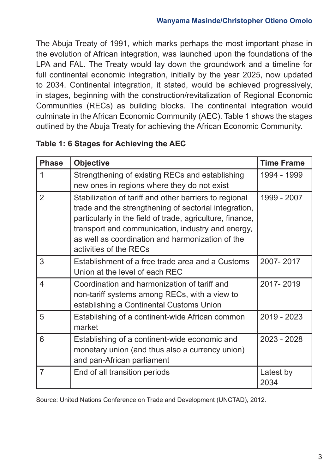The Abuja Treaty of 1991, which marks perhaps the most important phase in the evolution of African integration, was launched upon the foundations of the LPA and FAL. The Treaty would lay down the groundwork and a timeline for full continental economic integration, initially by the year 2025, now updated to 2034. Continental integration, it stated, would be achieved progressively, in stages, beginning with the construction/revitalization of Regional Economic Communities (RECs) as building blocks. The continental integration would culminate in the African Economic Community (AEC). Table 1 shows the stages outlined by the Abuja Treaty for achieving the African Economic Community.

| <b>Phase</b>   | <b>Objective</b>                                                                                                                                                                                                                                                                                                | <b>Time Frame</b> |
|----------------|-----------------------------------------------------------------------------------------------------------------------------------------------------------------------------------------------------------------------------------------------------------------------------------------------------------------|-------------------|
| 1              | Strengthening of existing RECs and establishing<br>new ones in regions where they do not exist                                                                                                                                                                                                                  | 1994 - 1999       |
| $\mathfrak{D}$ | Stabilization of tariff and other barriers to regional<br>trade and the strengthening of sectorial integration,<br>particularly in the field of trade, agriculture, finance,<br>transport and communication, industry and energy,<br>as well as coordination and harmonization of the<br>activities of the RECs | 1999 - 2007       |
| 3              | Establishment of a free trade area and a Customs<br>Union at the level of each REC                                                                                                                                                                                                                              | 2007-2017         |
| 4              | Coordination and harmonization of tariff and<br>non-tariff systems among RECs, with a view to<br>establishing a Continental Customs Union                                                                                                                                                                       | 2017-2019         |
| 5              | Establishing of a continent-wide African common<br>market                                                                                                                                                                                                                                                       | 2019 - 2023       |
| 6              | Establishing of a continent-wide economic and<br>monetary union (and thus also a currency union)<br>and pan-African parliament                                                                                                                                                                                  | 2023 - 2028       |
| 7              | End of all transition periods                                                                                                                                                                                                                                                                                   | Latest by<br>2034 |

#### **Table 1: 6 Stages for Achieving the AEC**

Source: United Nations Conference on Trade and Development (UNCTAD), 2012.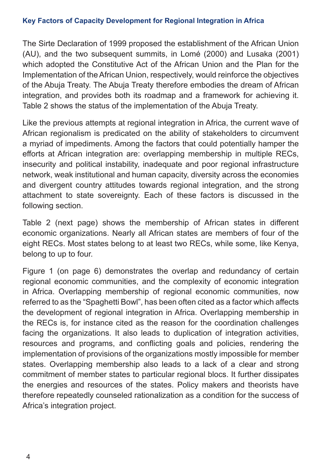#### **Key Factors of Capacity Development for Regional Integration in Africa**

The Sirte Declaration of 1999 proposed the establishment of the African Union (AU), and the two subsequent summits, in Lomé (2000) and Lusaka (2001) which adopted the Constitutive Act of the African Union and the Plan for the Implementation of the African Union, respectively, would reinforce the objectives of the Abuja Treaty. The Abuja Treaty therefore embodies the dream of African integration, and provides both its roadmap and a framework for achieving it. Table 2 shows the status of the implementation of the Abuja Treaty.

Like the previous attempts at regional integration in Africa, the current wave of African regionalism is predicated on the ability of stakeholders to circumvent a myriad of impediments. Among the factors that could potentially hamper the efforts at African integration are: overlapping membership in multiple RECs, insecurity and political instability, inadequate and poor regional infrastructure network, weak institutional and human capacity, diversity across the economies and divergent country attitudes towards regional integration, and the strong attachment to state sovereignty. Each of these factors is discussed in the following section.

Table 2 (next page) shows the membership of African states in different economic organizations. Nearly all African states are members of four of the eight RECs. Most states belong to at least two RECs, while some, like Kenya, belong to up to four.

Figure 1 (on page 6) demonstrates the overlap and redundancy of certain regional economic communities, and the complexity of economic integration in Africa. Overlapping membership of regional economic communities, now referred to as the "Spaghetti Bowl", has been often cited as a factor which affects the development of regional integration in Africa. Overlapping membership in the RECs is, for instance cited as the reason for the coordination challenges facing the organizations. It also leads to duplication of integration activities, resources and programs, and conflicting goals and policies, rendering the implementation of provisions of the organizations mostly impossible for member states. Overlapping membership also leads to a lack of a clear and strong commitment of member states to particular regional blocs. It further dissipates the energies and resources of the states. Policy makers and theorists have therefore repeatedly counseled rationalization as a condition for the success of Africa's integration project.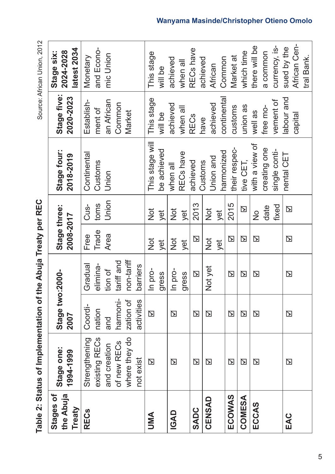|                                  | Table 2: Status of Implementation of the Abuja Treaty per REC                  |                                                   |                                                            |                           |                         |                                    |                                                         | Source: African Union, 2012               |
|----------------------------------|--------------------------------------------------------------------------------|---------------------------------------------------|------------------------------------------------------------|---------------------------|-------------------------|------------------------------------|---------------------------------------------------------|-------------------------------------------|
| the Abuja<br>Stages of<br>Treaty | Stage one:<br>1994-1999                                                        | Stage two:2000-<br>2007                           |                                                            | Stage three:<br>2008-2017 |                         | Stage four:<br>2018-2019           | Stage five:<br>2020-2023                                | latest 2034<br>2024-2028<br>Stage six:    |
| <b>RECs</b>                      | existing RECs<br>Strengthening<br>where they do<br>of new RECs<br>and creation | harmoni-<br>zation of<br>Coordi-<br>nation<br>and | non-tariff<br>tariff and<br>Gradual<br>elimina-<br>tion of | Trade<br>Area<br>Free     | Union<br>toms<br>Cus-   | Continental<br>Customs<br>Union    | an African<br>Establish-<br>Common<br>ment of<br>Market | and Econo-<br>mic Union<br>Monetary       |
|                                  | not exist                                                                      | activities                                        | barriers                                                   |                           |                         |                                    |                                                         |                                           |
| UMA                              | $\overline{\mathbf{z}}$                                                        | $\overline{\mathbf{z}}$                           | In pro-<br>gress                                           | $\frac{1}{2}$<br>yet      | $\frac{1}{2}$<br>yet    | This stage will<br>be achieved     | This stage<br>will be                                   | This stage<br>will be                     |
| <b>IGAD</b>                      | $\Delta$                                                                       | $\overline{\mathbf{z}}$                           | In pro-<br>gress                                           | $\frac{1}{2}$<br>yet      | <b>D</b><br>yet         | RECs have<br>when all              | achieved<br>when all                                    | achieved<br>when all                      |
| <b>SADC</b>                      | $\overline{\mathbf{z}}$                                                        | $\mathbf E$                                       | $\overline{\mathbf{z}}$                                    | ⊠                         | 2013                    | achieved                           | <b>RECs</b>                                             | RECs have                                 |
| CENSAD                           | $\mathbf{Z}$                                                                   | $\mathbf E$                                       | Not yet                                                    | $\frac{1}{2}$<br>yet      | $\frac{1}{2}$<br>yet    | harmonized<br>Union and<br>Customs | continental<br>achieved<br>have                         | Common<br>achieved<br>African             |
| ECOWAS                           | $\mathbf E$                                                                    | $\Delta$                                          | $\Delta$                                                   | $\mathbf Z$               | 2015                    | their respec-                      | customs                                                 | Market at                                 |
| COMESA                           | ⊠                                                                              | ⊠                                                 | $\overline{\mathbf{z}}$                                    | ⊠                         | $\overline{\mathbf{z}}$ | tive CET,                          | union as                                                | which time                                |
| ECCAS                            | ⊠                                                                              | ⊠                                                 | $\Delta$                                                   | $\Delta$                  | date<br>$\frac{1}{2}$   | with a view of<br>creating one     | free mo-<br>well as                                     | there will be<br>a common                 |
|                                  |                                                                                |                                                   |                                                            |                           | fixed                   | single conti-                      | vement of                                               | currency, is-                             |
| EAC                              | ⊠                                                                              | ⊠                                                 | $\mathbf Z$                                                | $\Delta$                  | $\overline{\mathbf{z}}$ | nental CET                         | labour and<br>capital                                   | African Cen-<br>sued by the<br>tral Bank. |

ntation of the Abuja Treaty per PEC  $\epsilon$ Tablo 2: Ctatus of Implam

2n1 Inion 2012 roo: Africa ت<br>ن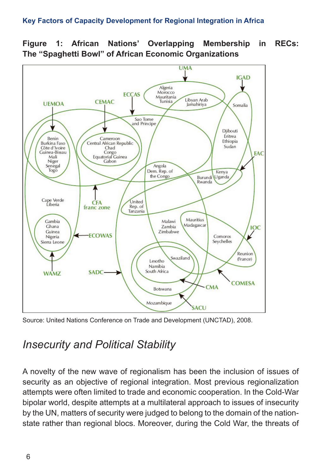#### **Key Factors of Capacity Development for Regional Integration in Africa**





Source: United Nations Conference on Trade and Development (UNCTAD), 2008.

### *Insecurity and Political Stability*

A novelty of the new wave of regionalism has been the inclusion of issues of security as an objective of regional integration. Most previous regionalization attempts were often limited to trade and economic cooperation. In the Cold-War bipolar world, despite attempts at a multilateral approach to issues of insecurity by the UN, matters of security were judged to belong to the domain of the nationstate rather than regional blocs. Moreover, during the Cold War, the threats of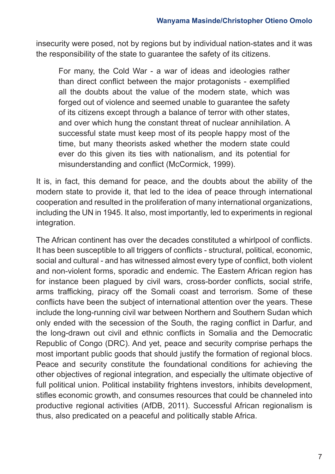insecurity were posed, not by regions but by individual nation-states and it was the responsibility of the state to guarantee the safety of its citizens.

For many, the Cold War - a war of ideas and ideologies rather than direct conflict between the major protagonists - exemplified all the doubts about the value of the modern state, which was forged out of violence and seemed unable to guarantee the safety of its citizens except through a balance of terror with other states, and over which hung the constant threat of nuclear annihilation. A successful state must keep most of its people happy most of the time, but many theorists asked whether the modern state could ever do this given its ties with nationalism, and its potential for misunderstanding and conflict (McCormick, 1999).

It is, in fact, this demand for peace, and the doubts about the ability of the modern state to provide it, that led to the idea of peace through international cooperation and resulted in the proliferation of many international organizations, including the UN in 1945. It also, most importantly, led to experiments in regional integration.

The African continent has over the decades constituted a whirlpool of conflicts. It has been susceptible to all triggers of conflicts - structural, political, economic, social and cultural - and has witnessed almost every type of conflict, both violent and non-violent forms, sporadic and endemic. The Eastern African region has for instance been plagued by civil wars, cross-border conflicts, social strife, arms trafficking, piracy off the Somali coast and terrorism. Some of these conflicts have been the subject of international attention over the years. These include the long-running civil war between Northern and Southern Sudan which only ended with the secession of the South, the raging conflict in Darfur, and the long-drawn out civil and ethnic conflicts in Somalia and the Democratic Republic of Congo (DRC). And yet, peace and security comprise perhaps the most important public goods that should justify the formation of regional blocs. Peace and security constitute the foundational conditions for achieving the other objectives of regional integration, and especially the ultimate objective of full political union. Political instability frightens investors, inhibits development, stifles economic growth, and consumes resources that could be channeled into productive regional activities (AfDB, 2011). Successful African regionalism is thus, also predicated on a peaceful and politically stable Africa.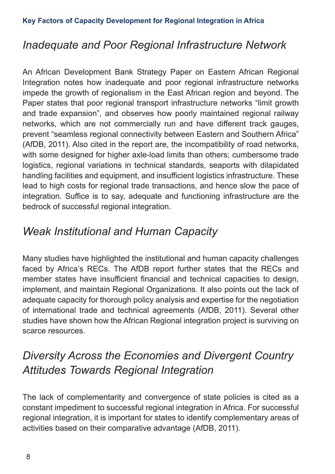### *Inadequate and Poor Regional Infrastructure Network*

An African Development Bank Strategy Paper on Eastern African Regional Integration notes how inadequate and poor regional infrastructure networks impede the growth of regionalism in the East African region and beyond. The Paper states that poor regional transport infrastructure networks "limit growth and trade expansion", and observes how poorly maintained regional railway networks, which are not commercially run and have different track gauges, prevent "seamless regional connectivity between Eastern and Southern Africa" (AfDB, 2011). Also cited in the report are, the incompatibility of road networks, with some designed for higher axle-load limits than others; cumbersome trade logistics, regional variations in technical standards, seaports with dilapidated handling facilities and equipment, and insufficient logistics infrastructure. These lead to high costs for regional trade transactions, and hence slow the pace of integration. Suffice is to say, adequate and functioning infrastructure are the bedrock of successful regional integration.

## *Weak Institutional and Human Capacity*

Many studies have highlighted the institutional and human capacity challenges faced by Africa's RECs. The AfDB report further states that the RECs and member states have insufficient financial and technical capacities to design, implement, and maintain Regional Organizations. It also points out the lack of adequate capacity for thorough policy analysis and expertise for the negotiation of international trade and technical agreements (AfDB, 2011). Several other studies have shown how the African Regional integration project is surviving on scarce resources.

# *Diversity Across the Economies and Divergent Country Attitudes Towards Regional Integration*

The lack of complementarity and convergence of state policies is cited as a constant impediment to successful regional integration in Africa. For successful regional integration, it is important for states to identify complementary areas of activities based on their comparative advantage (AfDB, 2011).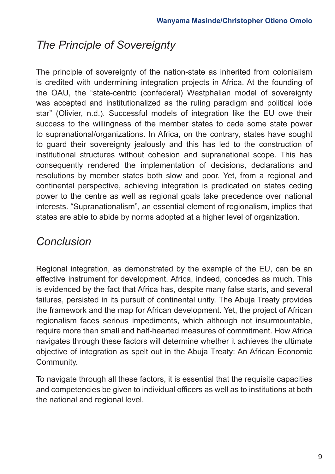## *The Principle of Sovereignty*

The principle of sovereignty of the nation-state as inherited from colonialism is credited with undermining integration projects in Africa. At the founding of the OAU, the "state-centric (confederal) Westphalian model of sovereignty was accepted and institutionalized as the ruling paradigm and political lode star" (Olivier, n.d.). Successful models of integration like the EU owe their success to the willingness of the member states to cede some state power to supranational/organizations. In Africa, on the contrary, states have sought to guard their sovereignty jealously and this has led to the construction of institutional structures without cohesion and supranational scope. This has consequently rendered the implementation of decisions, declarations and resolutions by member states both slow and poor. Yet, from a regional and continental perspective, achieving integration is predicated on states ceding power to the centre as well as regional goals take precedence over national interests. "Supranationalism", an essential element of regionalism, implies that states are able to abide by norms adopted at a higher level of organization.

### *Conclusion*

Regional integration, as demonstrated by the example of the EU, can be an effective instrument for development. Africa, indeed, concedes as much. This is evidenced by the fact that Africa has, despite many false starts, and several failures, persisted in its pursuit of continental unity. The Abuja Treaty provides the framework and the map for African development. Yet, the project of African regionalism faces serious impediments, which although not insurmountable, require more than small and half-hearted measures of commitment. How Africa navigates through these factors will determine whether it achieves the ultimate objective of integration as spelt out in the Abuja Treaty: An African Economic Community.

To navigate through all these factors, it is essential that the requisite capacities and competencies be given to individual officers as well as to institutions at both the national and regional level.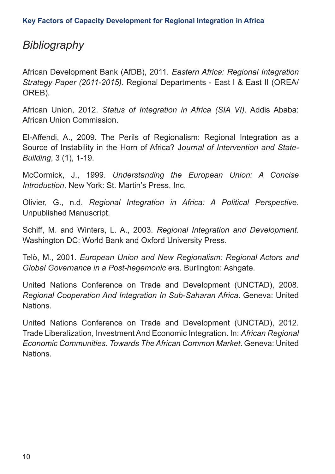### *Bibliography*

African Development Bank (AfDB), 2011. *Eastern Africa: Regional Integration Strategy Paper (2011-2015)*. Regional Departments - East I & East II (OREA/ OREB).

African Union, 2012. *Status of Integration in Africa (SIA VI)*. Addis Ababa: African Union Commission.

El-Affendi, A., 2009. The Perils of Regionalism: Regional Integration as a Source of Instability in the Horn of Africa? J*ournal of Intervention and State-Building*, 3 (1), 1-19.

McCormick, J., 1999. *Understanding the European Union: A Concise Introduction*. New York: St. Martin's Press, Inc.

Olivier, G., n.d. *Regional Integration in Africa: A Political Perspective*. Unpublished Manuscript.

Schiff, M. and Winters, L. A., 2003. *Regional Integration and Development*. Washington DC: World Bank and Oxford University Press.

Telò, M., 2001. *European Union and New Regionalism: Regional Actors and Global Governance in a Post-hegemonic era*. Burlington: Ashgate.

United Nations Conference on Trade and Development (UNCTAD), 2008. *Regional Cooperation And Integration In Sub-Saharan Africa*. Geneva: United Nations.

United Nations Conference on Trade and Development (UNCTAD), 2012. Trade Liberalization, Investment And Economic Integration. In: *African Regional Economic Communities. Towards The African Common Market*. Geneva: United Nations.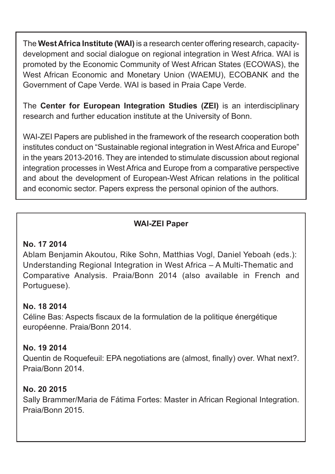The **West Africa Institute (WAI)** is a research center offering research, capacitydevelopment and social dialogue on regional integration in West Africa. WAI is promoted by the Economic Community of West African States (ECOWAS), the West African Economic and Monetary Union (WAEMU), ECOBANK and the Government of Cape Verde. WAI is based in Praia Cape Verde.

The **Center for European Integration Studies (ZEI)** is an interdisciplinary research and further education institute at the University of Bonn.

WAI-ZEI Papers are published in the framework of the research cooperation both institutes conduct on "Sustainable regional integration in West Africa and Europe" in the years 2013-2016. They are intended to stimulate discussion about regional integration processes in West Africa and Europe from a comparative perspective and about the development of European-West African relations in the political and economic sector. Papers express the personal opinion of the authors.

### **WAI-ZEI Paper**

#### **No. 17 2014**

Ablam Benjamin Akoutou, Rike Sohn, Matthias Vogl, Daniel Yeboah (eds.): Understanding Regional Integration in West Africa – A Multi-Thematic and Comparative Analysis. Praia/Bonn 2014 (also available in French and Portuguese).

#### **No. 18 2014**

Céline Bas: Aspects fiscaux de la formulation de la politique énergétique européenne. Praia/Bonn 2014.

### **No. 19 2014**

Quentin de Roquefeuil: EPA negotiations are (almost, finally) over. What next?. Praia/Bonn 2014.

### **No. 20 2015**

Sally Brammer/Maria de Fátima Fortes: Master in African Regional Integration. Praia/Bonn 2015.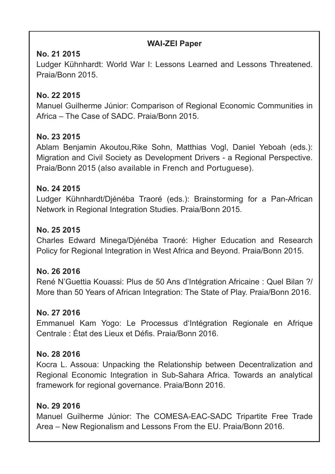#### **WAI-ZEI Paper**

### **No. 21 2015**

Ludger Kühnhardt: World War I: Lessons Learned and Lessons Threatened. Praia/Bonn 2015.

### **No. 22 2015**

Manuel Guilherme Júnior: Comparison of Regional Economic Communities in Africa – The Case of SADC. Praia/Bonn 2015.

#### **No. 23 2015**

Ablam Benjamin Akoutou,Rike Sohn, Matthias Vogl, Daniel Yeboah (eds.): Migration and Civil Society as Development Drivers - a Regional Perspective. Praia/Bonn 2015 (also available in French and Portuguese).

#### **No. 24 2015**

Ludger Kühnhardt/Djénéba Traoré (eds.): Brainstorming for a Pan-African Network in Regional Integration Studies. Praia/Bonn 2015.

#### **No. 25 2015**

Charles Edward Minega/Djénéba Traoré: Higher Education and Research Policy for Regional Integration in West Africa and Beyond. Praia/Bonn 2015.

#### **No. 26 2016**

René N'Guettia Kouassi: Plus de 50 Ans d'Intégration Africaine : Quel Bilan ?/ More than 50 Years of African Integration: The State of Play. Praia/Bonn 2016.

#### **No. 27 2016**

Emmanuel Kam Yogo: Le Processus d'Intégration Regionale en Afrique Centrale : État des Lieux et Défis. Praia/Bonn 2016.

#### **No. 28 2016**

Kocra L. Assoua: Unpacking the Relationship between Decentralization and Regional Economic Integration in Sub-Sahara Africa. Towards an analytical framework for regional governance. Praia/Bonn 2016.

#### **No. 29 2016**

Manuel Guilherme Júnior: The COMESA-EAC-SADC Tripartite Free Trade Area – New Regionalism and Lessons From the EU. Praia/Bonn 2016.